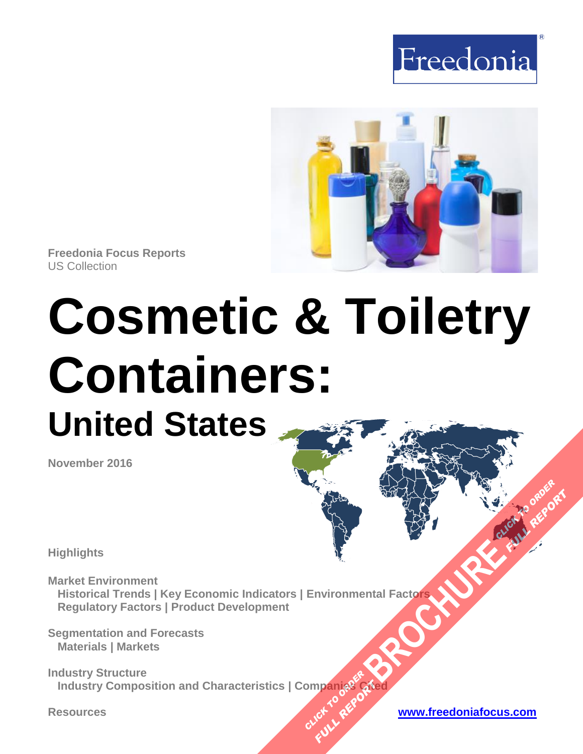



**Freedonia Focus Reports** US Collection

# **Cosmetic & Toiletry Containers: United States**

**November 2016**

**Highlights**

**Market Environment Historical Trends | Key Economic Indicators | Environmental Factors Regulatory Factors | Product Development [BROCHURE](http://www.freedoniagroup.com/FocusDetails.aspx?ReferrerId=FM-FocusBro&ReportID=FF30027)ACH TO CLICK TO ORDER** 

**Segmentation and Forecasts Materials | Markets**

**Industry Structure Industry Composition and Characteristics | Companies Cited OMPanjages PREPORT** 

**Resources [www.freedoniafocus.com](http://www.freedoniagroup.com/FocusReports.aspx?ReferrerId=FM-FocusBro)**

**FULL REPORT**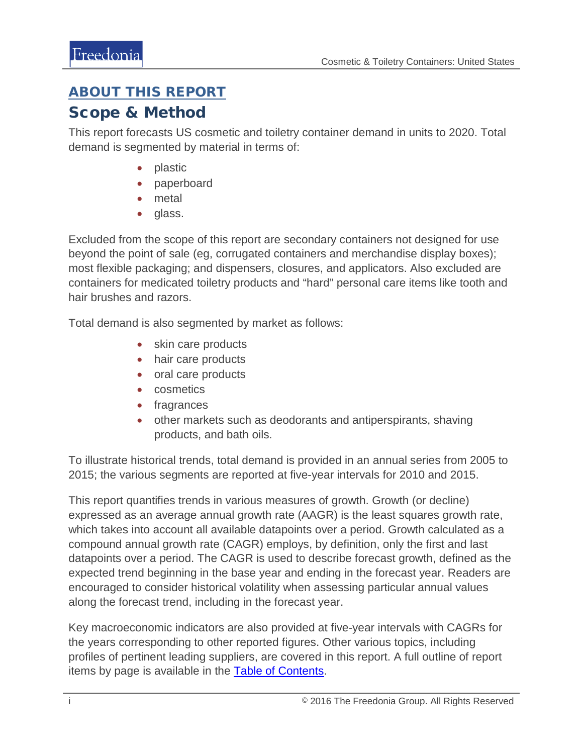## <span id="page-1-0"></span>ABOUT THIS REPORT

## Scope & Method

This report forecasts US cosmetic and toiletry container demand in units to 2020. Total demand is segmented by material in terms of:

- plastic
- paperboard
- metal
- glass.

Excluded from the scope of this report are secondary containers not designed for use beyond the point of sale (eg, corrugated containers and merchandise display boxes); most flexible packaging; and dispensers, closures, and applicators. Also excluded are containers for medicated toiletry products and "hard" personal care items like tooth and hair brushes and razors.

Total demand is also segmented by market as follows:

- skin care products
- hair care products
- oral care products
- cosmetics
- fragrances
- other markets such as deodorants and antiperspirants, shaving products, and bath oils.

To illustrate historical trends, total demand is provided in an annual series from 2005 to 2015; the various segments are reported at five-year intervals for 2010 and 2015.

This report quantifies trends in various measures of growth. Growth (or decline) expressed as an average annual growth rate (AAGR) is the least squares growth rate, which takes into account all available datapoints over a period. Growth calculated as a compound annual growth rate (CAGR) employs, by definition, only the first and last datapoints over a period. The CAGR is used to describe forecast growth, defined as the expected trend beginning in the base year and ending in the forecast year. Readers are encouraged to consider historical volatility when assessing particular annual values along the forecast trend, including in the forecast year.

Key macroeconomic indicators are also provided at five-year intervals with CAGRs for the years corresponding to other reported figures. Other various topics, including profiles of pertinent leading suppliers, are covered in this report. A full outline of report items by page is available in the [Table of Contents.](#page-3-0)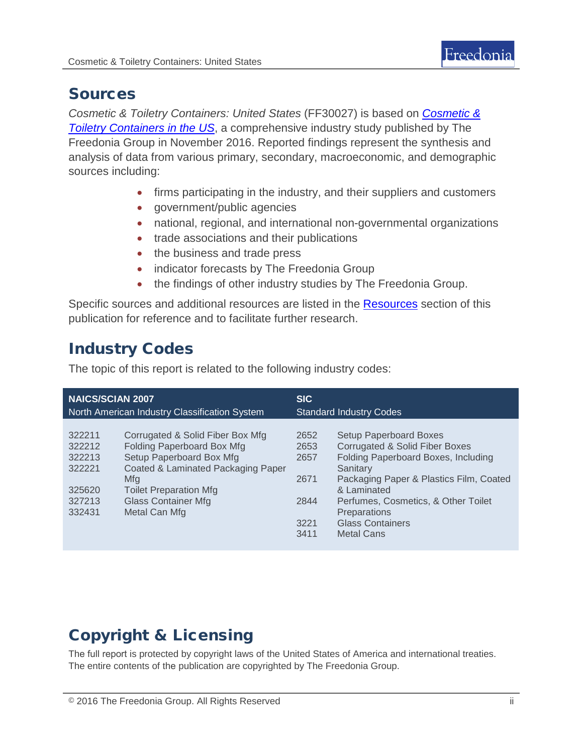

## Sources

*Cosmetic & Toiletry Containers: United States* (FF30027) is based on *[Cosmetic &](http://www.freedoniagroup.com/DocumentDetails.aspx?ReferrerId=FL-FOCUS&studyid=3477)  [Toiletry Containers in the US](http://www.freedoniagroup.com/DocumentDetails.aspx?ReferrerId=FL-FOCUS&studyid=3477)*, a comprehensive industry study published by The Freedonia Group in November 2016. Reported findings represent the synthesis and analysis of data from various primary, secondary, macroeconomic, and demographic sources including:

- firms participating in the industry, and their suppliers and customers
- government/public agencies
- national, regional, and international non-governmental organizations
- trade associations and their publications
- the business and trade press
- indicator forecasts by The Freedonia Group
- the findings of other industry studies by The Freedonia Group.

Specific sources and additional resources are listed in the [Resources](#page-4-0) section of this publication for reference and to facilitate further research.

# Industry Codes

The topic of this report is related to the following industry codes:

| <b>NAICS/SCIAN 2007</b>                       |                                      | <b>SIC</b>                     |                                                        |
|-----------------------------------------------|--------------------------------------|--------------------------------|--------------------------------------------------------|
| North American Industry Classification System |                                      | <b>Standard Industry Codes</b> |                                                        |
| 322211                                        | Corrugated & Solid Fiber Box Mfg     | 2652                           | <b>Setup Paperboard Boxes</b>                          |
| 322212                                        | <b>Folding Paperboard Box Mfg</b>    | 2653                           | <b>Corrugated &amp; Solid Fiber Boxes</b>              |
| 322213                                        | Setup Paperboard Box Mfg             | 2657                           | Folding Paperboard Boxes, Including                    |
| 322221                                        | Coated & Laminated Packaging Paper   |                                | Sanitary                                               |
| 325620                                        | Mfg<br><b>Toilet Preparation Mfg</b> | 2671                           | Packaging Paper & Plastics Film, Coated<br>& Laminated |
| 327213                                        | <b>Glass Container Mfg</b>           | 2844                           | Perfumes, Cosmetics, & Other Toilet                    |
| 332431                                        | Metal Can Mfg                        |                                | <b>Preparations</b>                                    |
|                                               |                                      | 3221<br>3411                   | <b>Glass Containers</b><br><b>Metal Cans</b>           |

# Copyright & Licensing

The full report is protected by copyright laws of the United States of America and international treaties. The entire contents of the publication are copyrighted by The Freedonia Group.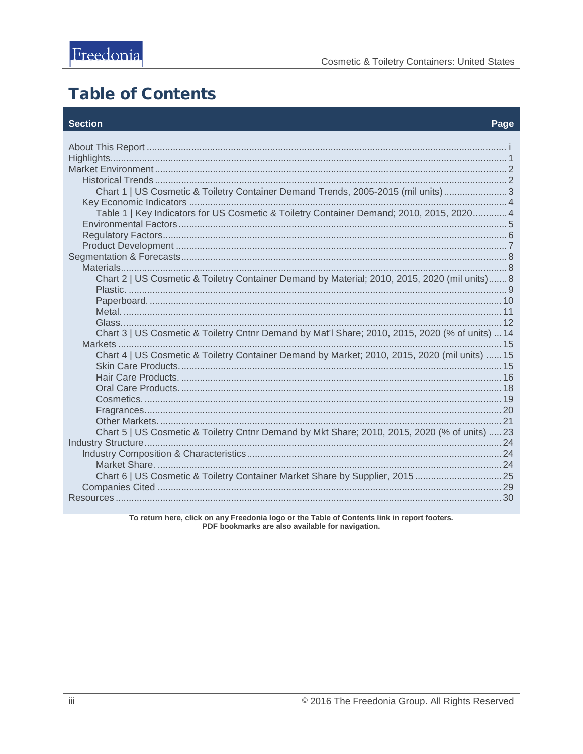# <span id="page-3-0"></span>**Table of Contents**

#### **Section**

#### Page

| Chart 1   US Cosmetic & Toiletry Container Demand Trends, 2005-2015 (mil units) 3               |  |
|-------------------------------------------------------------------------------------------------|--|
|                                                                                                 |  |
| Table 1   Key Indicators for US Cosmetic & Toiletry Container Demand; 2010, 2015, 2020 4        |  |
|                                                                                                 |  |
|                                                                                                 |  |
|                                                                                                 |  |
|                                                                                                 |  |
|                                                                                                 |  |
| Chart 2   US Cosmetic & Toiletry Container Demand by Material; 2010, 2015, 2020 (mil units) 8   |  |
|                                                                                                 |  |
|                                                                                                 |  |
|                                                                                                 |  |
|                                                                                                 |  |
| Chart 3   US Cosmetic & Toiletry Cntnr Demand by Mat'l Share; 2010, 2015, 2020 (% of units)  14 |  |
|                                                                                                 |  |
| Chart 4   US Cosmetic & Toiletry Container Demand by Market; 2010, 2015, 2020 (mil units)  15   |  |
|                                                                                                 |  |
|                                                                                                 |  |
|                                                                                                 |  |
|                                                                                                 |  |
|                                                                                                 |  |
| Chart 5   US Cosmetic & Toiletry Cntnr Demand by Mkt Share; 2010, 2015, 2020 (% of units)  23   |  |
|                                                                                                 |  |
|                                                                                                 |  |
|                                                                                                 |  |
| Chart 6   US Cosmetic & Toiletry Container Market Share by Supplier, 201525                     |  |
|                                                                                                 |  |
|                                                                                                 |  |
|                                                                                                 |  |

To return here, click on any Freedonia logo or the Table of Contents link in report footers.<br>PDF bookmarks are also available for navigation.